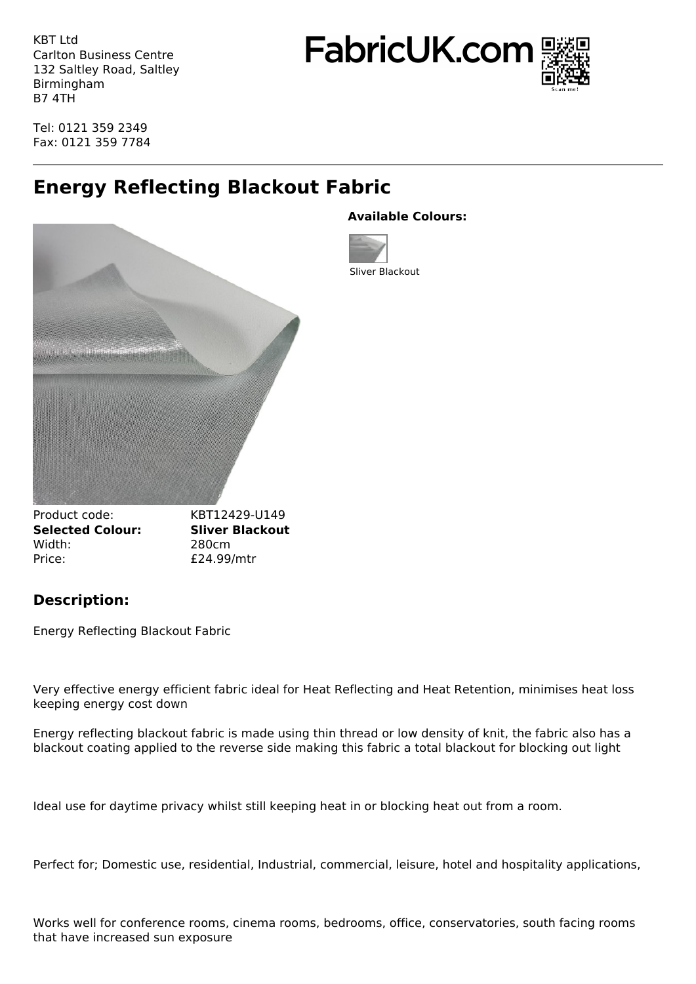KBT Ltd Carlton Business Centre 132 Saltley Road, Saltley Birmingham B7 4TH

FabricUK.com



Tel: 0121 359 2349 Fax: 0121 359 7784

# **Energy Reflecting Blackout Fabric**



## **Available Colours:**



Product code: KBT12429-U149 **Selected Colour: Sliver Blackout** Width: 280cm Price:  $£24.99/mtr$ 

## **Description:**

Energy Reflecting Blackout Fabric

Very effective energy efficient fabric ideal for Heat Reflecting and Heat Retention, minimises heat loss keeping energy cost down

Energy reflecting blackout fabric is made using thin thread or low density of knit, the fabric also has a blackout coating applied to the reverse side making this fabric a total blackout for blocking out light

Ideal use for daytime privacy whilst still keeping heat in or blocking heat out from a room.

Perfect for; Domestic use, residential, Industrial, commercial, leisure, hotel and hospitality applications,

Works well for conference rooms, cinema rooms, bedrooms, office, conservatories, south facing rooms that have increased sun exposure